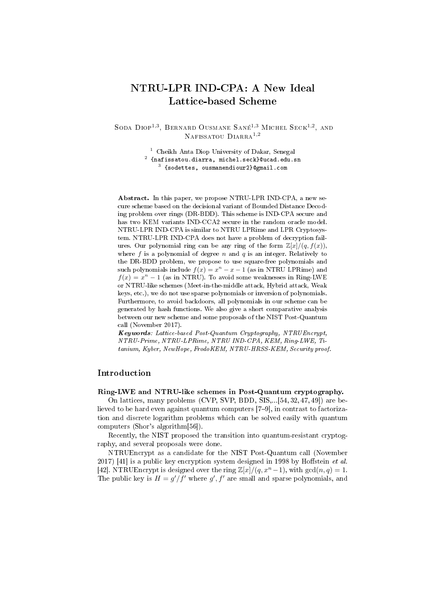# NTRU-LPR IND-CPA: A New Ideal Lattice-based Scheme

SODA DIOP<sup>1,3</sup>, BERNARD OUSMANE SANÉ<sup>1,3</sup> MICHEL SECK<sup>1,2</sup>, AND NAFISSATOU DIARRA<sup>1,2</sup>

> <sup>1</sup> Cheikh Anta Diop University of Dakar, Senegal  $^{\rm 2}$  {nafissatou.diarra, michel.seck}@ucad.edu.sn 3 {sodettes, ousmanendiour2}@gmail.com

Abstract. In this paper, we propose NTRU-LPR IND-CPA, a new secure scheme based on the decisional variant of Bounded Distance Decoding problem over rings (DR-BDD). This scheme is IND-CPA secure and has two KEM variants IND-CCA2 secure in the random oracle model. NTRU-LPR IND-CPA is similar to NTRU LPRime and LPR Cryptosystem. NTRU-LPR IND-CPA does not have a problem of decryption failures. Our polynomial ring can be any ring of the form  $\mathbb{Z}[x]/(q, f(x))$ , where  $f$  is a polynomial of degree  $n$  and  $q$  is an integer. Relatively to the DR-BDD problem, we propose to use square-free polynomials and such polynomials include  $f(x) = x^n - x - 1$  (as in NTRU LPRime) and  $f(x) = x<sup>n</sup> - 1$  (as in NTRU). To avoid some weaknesses in Ring-LWE or NTRU-like schemes (Meet-in-the-middle attack, Hybrid attack, Weak keys, etc.), we do not use sparse polynomials or inversion of polynomials. Furthermore, to avoid backdoors, all polynomials in our scheme can be generated by hash functions. We also give a short comparative analysis between our new scheme and some proposals of the NIST Post-Quantum call (November 2017).

Keywords: Lattice-based Post-Quantum Cryptography, NTRUEncrypt, NTRU-Prime, NTRU-LPRime, NTRU IND-CPA, KEM, Ring-LWE, Titanium, Kyber, NewHope, FrodoKEM, NTRU-HRSS-KEM, Security proof.

## Introduction

### Ring-LWE and NTRU-like schemes in Post-Quantum cryptography.

On lattices, many problems (CVP, SVP, BDD, SIS,...[54, 32, 47, 49]) are believed to be hard even against quantum computers [7-9], in contrast to factorization and discrete logarithm problems which can be solved easily with quantum computers (Shor's algorithm[56]).

Recently, the NIST proposed the transition into quantum-resistant cryptography, and several proposals were done.

NTRUEncrypt as a candidate for the NIST Post-Quantum call (November 2017) [41] is a public key encryption system designed in 1998 by Hoffstein *et al.* [42]. NTRUEncrypt is designed over the ring  $\mathbb{Z}[x]/(q, x^{n}-1)$ , with  $gcd(n, q) = 1$ . The public key is  $H = g'/f'$  where  $g', f'$  are small and sparse polynomials, and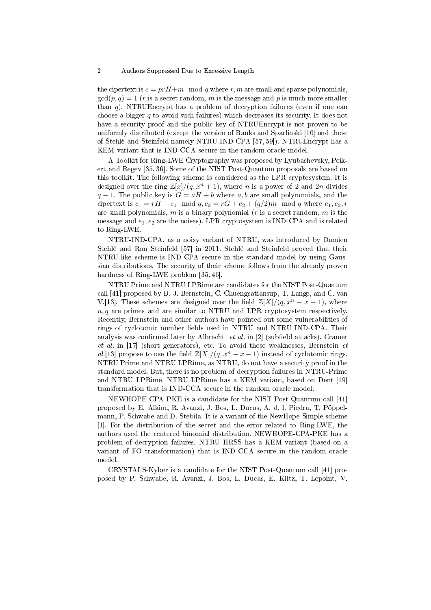the cipertext is  $c = prH+m \mod q$  where r, m are small and sparse polynomials,  $gcd(p, q) = 1$  (r is a secret random, m is the message and p is much more smaller than  $q$ ). NTRUEncrypt has a problem of decryption failures (even if one can choose a bigger  $q$  to avoid such failures) which decreases its security. It does not have a security proof and the public key of NTRUEncrypt is not proven to be uniformly distributed (except the version of Banks and Sparlinski [10] and those of Stehlé and Steinfeld namely NTRU-IND-CPA [57, 59]). NTRUEncrypt has a KEM variant that is IND-CCA secure in the random oracle model.

A Toolkit for Ring-LWE Cryptography was proposed by Lyubashevsky, Peikert and Regev [35, 36]. Some of the NIST Post-Quantum proposals are based on this toolkit. The following scheme is considered as the LPR cryptosystem. It is designed over the ring  $\mathbb{Z}[x]/(q, x^n + 1)$ , where *n* is a power of 2 and 2*n* divides  $q-1$ . The public key is  $G = aH + b$  where a, b are small polynomials, and the cipertext is  $c_1 = rH + e_1 \mod q$ ,  $c_2 = rG + e_2 + (q/2)m \mod q$  where  $e_1, e_2, r$ are small polynomials, m is a binary polynomial  $(r$  is a secret random, m is the message and  $e_1, e_2$  are the noises). LPR cryptosystem is IND-CPA and is related to Ring-LWE.

NTRU-IND-CPA, as a noisy variant of NTRU, was introduced by Damien Stehlé and Ron Steinfeld [57] in 2011. Stehlé and Steinfeld proved that their NTRU-like scheme is IND-CPA secure in the standard model by using Gaussian distributions. The security of their scheme follows from the already proven hardness of Ring-LWE problem [35, 46].

NTRU Prime and NTRU LPRime are candidates for the NIST Post-Quantum call [41] proposed by D. J. Bernstein, C. Chuengsatiansup, T. Lange, and C. van V.[13]. These schemes are designed over the field  $\mathbb{Z}[X]/(q, x^n - x - 1)$ , where  $n, q$  are primes and are similar to NTRU and LPR cryptosystem respectively. Recently, Bernstein and other authors have pointed out some vulnerabilities of rings of cyclotomic number fields used in NTRU and NTRU IND-CPA. Their analysis was confirmed later by Albrecht  $et$  al. in [2] (subfield attacks), Cramer et al. in [17] (short generators), etc. To avoid these weaknesses, Bernstein  $et$ al.[13] propose to use the field  $\mathbb{Z}[X]/(q, x^n - x - 1)$  instead of cyclotomic rings. NTRU Prime and NTRU LPRime, as NTRU, do not have a security proof in the standard model. But, there is no problem of decryption failures in NTRU-Prime and NTRU LPRime. NTRU LPRime has a KEM variant, based on Dent [19] transformation that is IND-CCA secure in the random oracle model.

NEWHOPE-CPA-PKE is a candidate for the NIST Post-Quantum call [41] proposed by E. Alkim, R. Avanzi, J. Bos, L. Ducas, A. d. l. Piedra, T. Pöppelmann, P. Schwabe and D. Stebila. It is a variant of the NewHope-Simple scheme [1]. For the distribution of the secret and the error related to Ring-LWE, the authors used the centered binomial distribution. NEWHOPE-CPA-PKE has a problem of decryption failures. NTRU HRSS has a KEM variant (based on a variant of FO transformation) that is IND-CCA secure in the random oracle model.

CRYSTALS-Kyber is a candidate for the NIST Post-Quantum call [41] proposed by P. Schwabe, R. Avanzi, J. Bos, L. Ducas, E. Kiltz, T. Lepoint, V.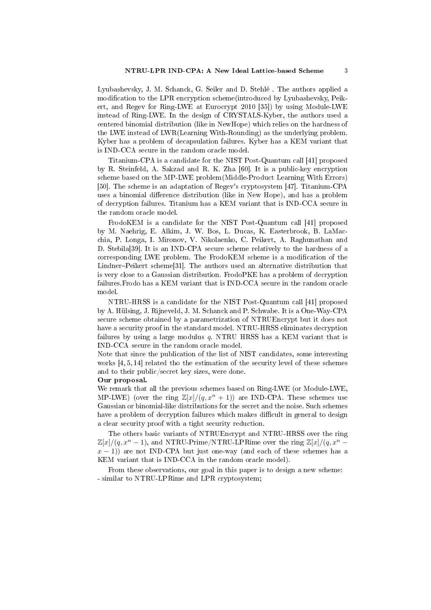Lyubashevsky, J. M. Schanck, G. Seiler and D. Stehlé . The authors applied a modification to the LPR encryption scheme(introduced by Lyubashevsky, Peikert, and Regev for Ring-LWE at Eurocrypt 2010 [35]) by using Module-LWE instead of Ring-LWE. In the design of CRYSTALS-Kyber, the authors used a centered binomial distribution (like in NewHope) which relies on the hardness of the LWE instead of LWR(Learning With-Rounding) as the underlying problem. Kyber has a problem of decapsulation failures. Kyber has a KEM variant that is IND-CCA secure in the random oracle model.

Titanium-CPA is a candidate for the NIST Post-Quantum call [41] proposed by R. Steinfeld, A. Sakzad and R. K. Zha [60]. It is a public-key encryption scheme based on the MP-LWE problem(Middle-Product Learning With Errors) [50]. The scheme is an adaptation of Regev's cryptosystem [47]. Titanium-CPA uses a binomial difference distribution (like in New Hope), and has a problem of decryption failures. Titanium has a KEM variant that is IND-CCA secure in the random oracle model.

FrodoKEM is a candidate for the NIST Post-Quantum call [41] proposed by M. Naehrig, E. Alkim, J. W. Bos, L. Ducas, K. Easterbrook, B. LaMacchia, P. Longa, I. Mironov, V. Nikolaenko, C. Peikert, A. Raghunathan and D. Stebila[39]. It is an IND-CPA secure scheme relatively to the hardness of a corresponding LWE problem. The FrodoKEM scheme is a modification of the Lindner-Peikert scheme<sup>[31]</sup>. The authors used an alternative distribution that is very close to a Gaussian distribution. FrodoPKE has a problem of decryption failures.Frodo has a KEM variant that is IND-CCA secure in the random oracle model.

NTRU-HRSS is a candidate for the NIST Post-Quantum call [41] proposed by A. Hülsing, J. Rijneveld, J. M. Schanck and P. Schwabe. It is a One-Way-CPA secure scheme obtained by a parametrization of NTRUEncrypt but it does not have a security proof in the standard model. NTRU-HRSS eliminates decryption failures by using a large modulus  $q$ . NTRU HRSS has a KEM variant that is IND-CCA secure in the random oracle model.

Note that since the publication of the list of NIST candidates, some interesting works [4, 5, 14] related tho the estimation of the security level of these schemes and to their public/secret key sizes, were done.

### Our proposal.

We remark that all the previous schemes based on Ring-LWE (or Module-LWE, MP-LWE) (over the ring  $\mathbb{Z}[x]/(q, x^n + 1)$ ) are IND-CPA. These schemes use Gaussian or binomial-like distributions for the secret and the noise. Such schemes have a problem of decryption failures which makes difficult in general to design a clear security proof with a tight security reduction.

The others basic variants of NTRUEncrypt and NTRU-HRSS over the ring  $\mathbb{Z}[x]/(q, x^{n} - 1)$ , and NTRU-Prime/NTRU-LPRime over the ring  $\mathbb{Z}[x]/(q, x^{n} - 1)$  $x - 1$ ) are not IND-CPA but just one-way (and each of these schemes has a KEM variant that is IND-CCA in the random oracle model).

From these observations, our goal in this paper is to design a new scheme: - similar to NTRU-LPRime and LPR cryptosystem;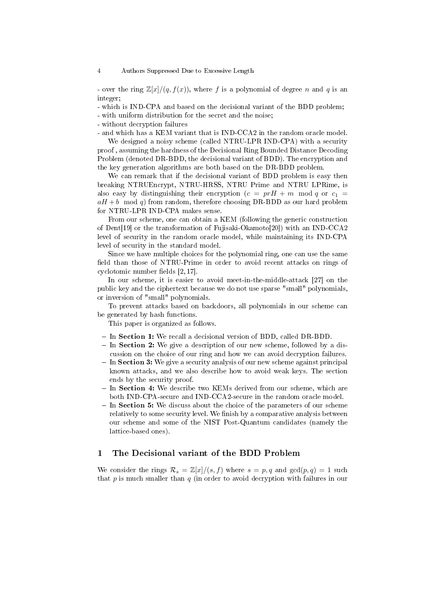- over the ring  $\mathbb{Z}[x]/(q, f(x))$ , where f is a polynomial of degree n and q is an integer;

- which is IND-CPA and based on the decisional variant of the BDD problem;

- with uniform distribution for the secret and the noise;

- without decryption failures

- and which has a KEM variant that is IND-CCA2 in the random oracle model.

We designed a noisy scheme (called NTRU-LPR IND-CPA) with a security proof , assuming the hardness of the Decisional Ring Bounded Distance Decoding Problem (denoted DR-BDD, the decisional variant of BDD). The encryption and the key generation algorithms are both based on the DR-BDD problem.

We can remark that if the decisional variant of BDD problem is easy then breaking NTRUEncrypt, NTRU-HRSS, NTRU Prime and NTRU LPRime, is also easy by distinguishing their encryption  $(c = prH + m \mod q \text{ or } c_1 =$  $aH + b \mod q$  from random, therefore choosing DR-BDD as our hard problem for NTRU-LPR IND-CPA makes sense.

From our scheme, one can obtain a KEM (following the generic construction of Dent[19] or the transformation of Fujisaki-Okamoto[20]) with an IND-CCA2 level of security in the random oracle model, while maintaining its IND-CPA level of security in the standard model.

Since we have multiple choices for the polynomial ring, one can use the same field than those of NTRU-Prime in order to avoid recent attacks on rings of cyclotomic number fields  $[2, 17]$ .

In our scheme, it is easier to avoid meet-in-the-middle-attack [27] on the public key and the ciphertext because we do not use sparse "small" polynomials, or inversion of "small" polynomials.

To prevent attacks based on backdoors, all polynomials in our scheme can be generated by hash functions.

This paper is organized as follows.

- In Section 1: We recall a decisional version of BDD, called DR-BDD.
- $\overline{\phantom{a}}$  In Section 2: We give a description of our new scheme, followed by a discussion on the choice of our ring and how we can avoid decryption failures.
- $\overline{\phantom{a}}$  In Section 3: We give a security analysis of our new scheme against principal known attacks, and we also describe how to avoid weak keys. The section ends by the security proof.
- $-$  In Section 4: We describe two KEMs derived from our scheme, which are both IND-CPA-secure and IND-CCA2-secure in the random oracle model.
- In Section 5: We discuss about the choice of the parameters of our scheme relatively to some security level. We finish by a comparative analysis between our scheme and some of the NIST Post-Quantum candidates (namely the lattice-based ones).

## 1 The Decisional variant of the BDD Problem

We consider the rings  $\mathcal{R}_s = \mathbb{Z}[x]/(s, f)$  where  $s = p, q$  and  $gcd(p, q) = 1$  such that  $p$  is much smaller than  $q$  (in order to avoid decryption with failures in our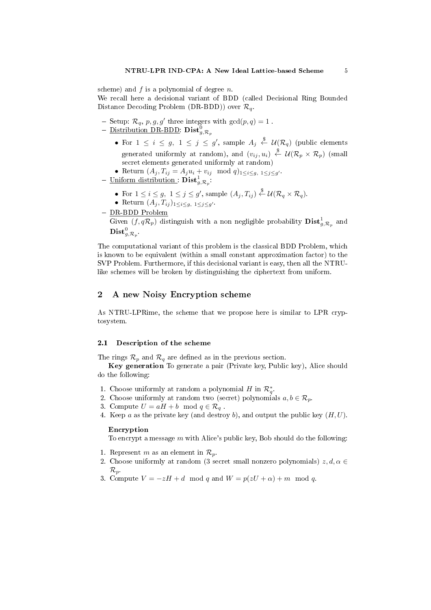scheme) and  $f$  is a polynomial of degree  $n$ .

We recall here a decisional variant of BDD (called Decisional Ring Bounded Distance Decoding Problem (DR-BDD)) over  $\mathcal{R}_q$ .

- Setup:  $\mathcal{R}_q$ ,  $p, g, g'$  three integers with  $gcd(p, q) = 1$ .
- $-$  Distribution DR-BDD:  $\textbf{Dist}_{g,\mathcal{R}_p}^0$ 
	- For  $1 \leq i \leq g$ ,  $1 \leq j \leq g'$ , sample  $A_j \stackrel{\$}{\leftarrow} \mathcal{U}(\mathcal{R}_q)$  (public elements generated uniformly at random), and  $(v_{ij}, u_i) \stackrel{\$}{\leftarrow} \mathcal{U}(\mathcal{R}_p \times \mathcal{R}_p)$  (small secret elements generated uniformly at random)
	- Return  $(A_j, T_{ij} = A_j u_i + v_{ij} \mod q)_{1 \leq i \leq g, 1 \leq j \leq g'}$ .
- $-$  Uniform distribution :  $\text{Dist}_{g,\mathcal{R}_p}^1$ :
	- For  $1 \leq i \leq g$ ,  $1 \leq j \leq g'$ , sample  $(A_j, T_{ij}) \stackrel{\$}{\leftarrow} \mathcal{U}(\mathcal{R}_q \times \mathcal{R}_q)$ .
	- Return  $(A_j, T_{ij})_{1 \leq i \leq g, 1 \leq j \leq g'}$ .
- DR-BDD Problem

Given  $(f, q\mathcal{R}_p)$  distinguish with a non negligible probability  $\textbf{Dist}^1_{g, \mathcal{R}_p}$  and  $\operatorname{\bf Dist}^0_{g,\mathcal{R}_p}.$ 

The computational variant of this problem is the classical BDD Problem, which is known to be equivalent (within a small constant approximation factor) to the SVP Problem. Furthermore, if this decisional variant is easy, then all the NTRUlike schemes will be broken by distinguishing the ciphertext from uniform.

## 2 A new Noisy Encryption scheme

As NTRU-LPRime, the scheme that we propose here is similar to LPR cryptosystem.

### 2.1 Description of the scheme

The rings  $\mathcal{R}_p$  and  $\mathcal{R}_q$  are defined as in the previous section.

Key generation To generate a pair (Private key, Public key), Alice should do the following:

- 1. Choose uniformly at random a polynomial H in  $\mathcal{R}_q^*$ .
- 2. Choose uniformly at random two (secret) polynomials  $a, b \in \mathcal{R}_p$ .
- 3. Compute  $U = aH + b \mod q \in \mathcal{R}_q$ .
- 4. Keep  $a$  as the private key (and destroy  $b$ ), and output the public key  $(H, U)$ .

### Encryption

To encrypt a message  $m$  with Alice's public key, Bob should do the following:

- 1. Represent m as an element in  $\mathcal{R}_p$ .
- 2. Choose uniformly at random (3 secret small nonzero polynomials)  $z, d, \alpha \in$  $\mathcal{R}_p$ .
- 3. Compute  $V = -zH + d \mod q$  and  $W = p(zU + \alpha) + m \mod q$ .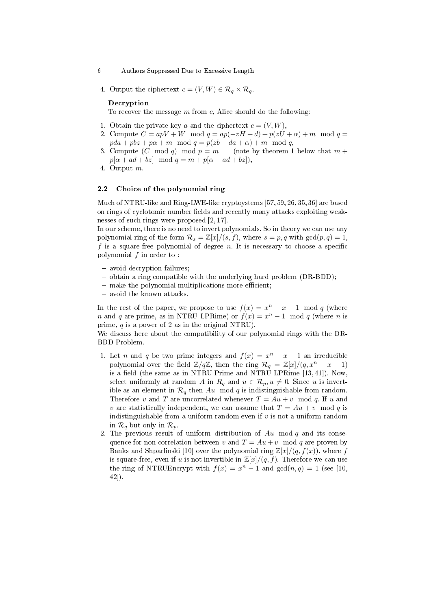- 6 Authors Suppressed Due to Excessive Length
- 4. Output the ciphertext  $c = (V, W) \in \mathcal{R}_q \times \mathcal{R}_q$ .

### Decryption

To recover the message  $m$  from  $c$ . Alice should do the following:

- 1. Obtain the private key a and the ciphertext  $c = (V, W)$ ,
- 2. Compute  $C = apV + W \mod q = ap(-zH + d) + p(zU + \alpha) + m \mod q =$  $pda + pbz + p\alpha + m \mod q = p(zb + da + \alpha) + m \mod q,$
- 3. Compute  $(C \mod q) \mod p = m$  (note by theorem 1 below that  $m +$  $p[\alpha + ad + bz] \mod q = m + p[\alpha + ad + bz]$ ,
- 4. Output m.

### 2.2 Choice of the polynomial ring

Much of NTRU-like and Ring-LWE-like cryptoystems [57, 59, 26, 35, 36] are based on rings of cyclotomic number fields and recently many attacks exploiting weaknesses of such rings were proposed [2, 17].

In our scheme, there is no need to invert polynomials. So in theory we can use any polynomial ring of the form  $\mathcal{R}_s = \mathbb{Z}[x]/(s, f)$ , where  $s = p, q$  with  $gcd(p, q) = 1$ , f is a square-free polynomial of degree  $n$ . It is necessary to choose a specific polynomial  $f$  in order to:

- avoid decryption failures;
- $-$  obtain a ring compatible with the underlying hard problem (DR-BDD);
- $-$  make the polynomial multiplications more efficient;
- avoid the known attacks.

In the rest of the paper, we propose to use  $f(x) = x<sup>n</sup> - x - 1 \mod q$  (where *n* and *q* are prime, as in NTRU LPRime) or  $f(x) = x<sup>n</sup> - 1$  mod *q* (where *n* is prime, q is a power of 2 as in the original NTRU).

We discuss here about the compatibility of our polynomial rings with the DR-BDD Problem.

- 1. Let *n* and *q* be two prime integers and  $f(x) = x^n x 1$  an irreducible polynomial over the field  $\mathbb{Z}/q\mathbb{Z}$ , then the ring  $\mathcal{R}_q = \mathbb{Z}[x]/(q, x^n - x - 1)$ is a field (the same as in NTRU-Prime and NTRU-LPRime  $[13, 41]$ ). Now, select uniformly at random A in  $R_q$  and  $u \in \mathcal{R}_p, u \neq 0$ . Since u is invertible as an element in  $\mathcal{R}_q$  then  $Au \mod q$  is indistinguishable from random. Therefore v and T are uncorrelated whenever  $T = Au + v \mod q$ . If u and v are statistically independent, we can assume that  $T = Au + v \mod q$  is indistinguishable from a uniform random even if  $v$  is not a uniform random in  $\mathcal{R}_q$  but only in  $\mathcal{R}_p$ .
- 2. The previous result of uniform distribution of  $Au \mod q$  and its consequence for non correlation between v and  $T = Au + v \mod q$  are proven by Banks and Shparlinski [10] over the polynomial ring  $\mathbb{Z}[x]/(q, f(x))$ , where f is square-free, even if u is not invertible in  $\mathbb{Z}[x]/(q, f)$ . Therefore we can use the ring of NTRUEncrypt with  $f(x) = x^{n} - 1$  and  $gcd(n, q) = 1$  (see [10, 42]).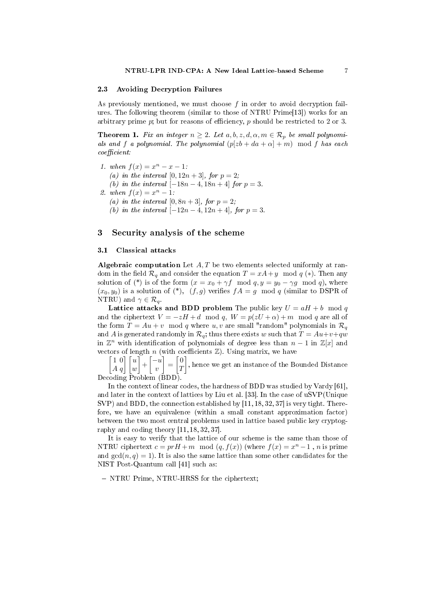### 2.3 Avoiding Decryption Failures

As previously mentioned, we must choose  $f$  in order to avoid decryption failures. The following theorem (similar to those of NTRU Prime[13]) works for an arbitrary prime  $p$ ; but for reasons of efficiency,  $p$  should be restricted to 2 or 3.

**Theorem 1.** Fix an integer  $n \geq 2$ . Let  $a, b, z, d, \alpha, m \in \mathcal{R}_p$  be small polynomials and f a polynomial. The polynomial  $(p|zb + da + \alpha | + m) \mod f$  has each  $coefficient$ 

- 1. when  $f(x) = x^n x 1$ : (a) in the interval  $[0, 12n + 3]$ , for  $p = 2$ ;
	- (b) in the interval  $[-18n 4, 18n + 4]$  for  $p = 3$ .

2. when 
$$
f(x) = x^n - 1
$$
:

- (a) in the interval  $[0, 8n + 3]$ , for  $p = 2$ ;
- (b) in the interval  $[-12n-4, 12n+4]$ , for  $p=3$ .

## 3 Security analysis of the scheme

## 3.1 Classical attacks

Algebraic computation Let  $A, T$  be two elements selected uniformly at random in the field  $\mathcal{R}_q$  and consider the equation  $T = xA + y \mod q$  (\*). Then any solution of (\*) is of the form  $(x = x_0 + \gamma f \mod q, y = y_0 - \gamma g \mod q)$ , where  $(x_0, y_0)$  is a solution of  $(*)$ ,  $(f, g)$  verifies  $fA = g \mod q$  (similar to DSPR of NTRU) and  $\gamma \in \mathcal{R}_q$ .

Lattice attacks and BDD problem The public key  $U = aH + b \mod q$ and the ciphertext  $V = -zH + d \mod q$ ,  $W = p(zU + \alpha) + m \mod q$  are all of the form  $T = Au + v \mod q$  where u, v are small "random" polynomials in  $\mathcal{R}_q$ and A is generated randomly in  $\mathcal{R}_q$ ; thus there exists w such that  $T = Au + v + qw$ in  $\mathbb{Z}^n$  with identification of polynomials of degree less than  $n-1$  in  $\mathbb{Z}[x]$  and vectors of length  $n$  (with coefficients  $\mathbb{Z}$ ). Using matrix, we have

 $\begin{bmatrix} 1 & 0 \\ A & q \end{bmatrix} \begin{bmatrix} u \\ w \end{bmatrix}$  $-\left[-u\right]$  $\overline{v}$  $=\begin{bmatrix} 0 \\ \tau \end{bmatrix}$ T  $\left.\rule{0pt}{10pt}\right]$  , hence we get an instance of the Bounded Distance Decoding Problem (BDD).

In the context of linear codes, the hardness of BDD was studied by Vardy [61], and later in the context of lattices by Liu et al. [33]. In the case of uSVP(Unique SVP) and BDD, the connection established by [11, 18, 32, 37] is very tight. Therefore, we have an equivalence (within a small constant approximation factor) between the two most central problems used in lattice based public key cryptography and coding theory [11, 18, 32, 37].

It is easy to verify that the lattice of our scheme is the same than those of NTRU ciphertext  $c = prH + m \mod (q, f(x))$  (where  $f(x) = x<sup>n</sup> - 1$ , n is prime and  $gcd(n, q) = 1$ . It is also the same lattice than some other candidates for the NIST Post-Quantum call [41] such as:

- NTRU Prime, NTRU-HRSS for the ciphertext;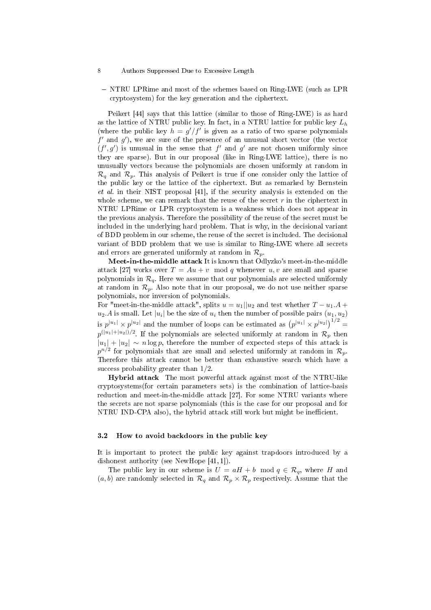- NTRU LPRime and most of the schemes based on Ring-LWE (such as LPR cryptosystem) for the key generation and the ciphertext.

Peikert [44] says that this lattice (similar to those of Ring-LWE) is as hard as the lattice of NTRU public key. In fact, in a NTRU lattice for public key  $L_h$ (where the public key  $h = g'/f'$  is given as a ratio of two sparse polynomials  $f'$  and  $g'$ ), we are sure of the presence of an unusual short vector (the vector  $(f', g')$  is unusual in the sense that  $f'$  and  $g'$  are not chosen uniformly since they are sparse). But in our proposal (like in Ring-LWE lattice), there is no unusually vectors because the polynomials are chosen uniformly at random in  $\mathcal{R}_q$  and  $\mathcal{R}_p$ . This analysis of Peikert is true if one consider only the lattice of the public key or the lattice of the ciphertext. But as remarked by Bernstein et al. in their NIST proposal [41], if the security analysis is extended on the whole scheme, we can remark that the reuse of the secret  $r$  in the ciphertext in NTRU LPRime or LPR cryptosystem is a weakness which does not appear in the previous analysis. Therefore the possibility of the reuse of the secret must be included in the underlying hard problem. That is why, in the decisional variant of BDD problem in our scheme, the reuse of the secret is included. The decisional variant of BDD problem that we use is similar to Ring-LWE where all secrets and errors are generated uniformly at random in  $\mathcal{R}_p$ .

Meet-in-the-middle attack It is known that Odlyzko's meet-in-the-middle attack [27] works over  $T = Au + v \mod q$  whenever u, v are small and sparse polynomials in  $\mathcal{R}_q$ . Here we assume that our polynomials are selected uniformly at random in  $\mathcal{R}_p$ . Also note that in our proposal, we do not use neither sparse polynomials, nor inversion of polynomials.

For "meet-in-the-middle attack", splits  $u = u_1||u_2$  and test whether  $T - u_1.A +$  $u_2.A$  is small. Let  $|u_i|$  be the size of  $u_i$  then the number of possible pairs  $(u_1, u_2)$ is  $p^{|u_1|} \times p^{|u_2|}$  and the number of loops can be estimated as  $(p^{|u_1|} \times p^{|u_2|})^{1/2} =$  $p^{(|u_1|+|u_2|)/2}.$  If the polynomials are selected uniformly at random in  $\mathcal{R}_p$  then  $|u_1| + |u_2| \sim n \log p$ , therefore the number of expected steps of this attack is  $p^{n/2}$  for polynomials that are small and selected uniformly at random in  $\mathcal{R}_p.$ Therefore this attack cannot be better than exhaustive search which have a success probability greater than 1/2.

Hybrid attack The most powerful attack against most of the NTRU-like cryptosystems(for certain parameters sets) is the combination of lattice-basis reduction and meet-in-the-middle attack [27]. For some NTRU variants where the secrets are not sparse polynomials (this is the case for our proposal and for NTRU IND-CPA also), the hybrid attack still work but might be inefficient.

### 3.2 How to avoid backdoors in the public key

It is important to protect the public key against trapdoors introduced by a dishonest authority (see NewHope [41, 1]).

The public key in our scheme is  $U = aH + b \mod q \in \mathcal{R}_q$ , where H and  $(a, b)$  are randomly selected in  $\mathcal{R}_q$  and  $\mathcal{R}_p \times \mathcal{R}_p$  respectively. Assume that the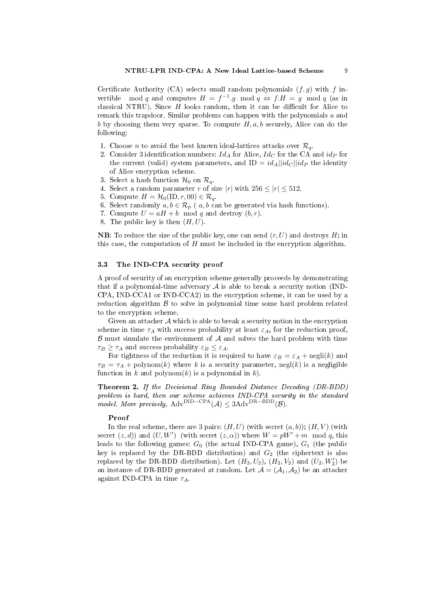Certificate Authority (CA) selects small random polynomials  $(f, g)$  with f invertible mod q and computes  $H = f^{-1} \cdot g \mod q \Leftrightarrow f \cdot H = g \mod q$  (as in classical NTRU). Since  $H$  looks random, then it can be difficult for Alice to remark this trapdoor. Similar problems can happen with the polynomials a and b by choosing them very sparse. To compute  $H, a, b$  securely, Alice can do the following:

- 1. Choose *n* to avoid the best known ideal-lattices attacks over  $\mathcal{R}_{q}$ .
- 2. Consider 3 identification numbers:  $Id_A$  for Alice,  $Id_C$  for the CA and  $id_P$  for the current (valid) system parameters, and ID =  $id_A||id_C||id_P$  the identity of Alice encryption scheme.
- 3. Select a hash function  $\mathcal{H}_0$  on  $\mathcal{R}_q$ .
- 4. Select a random parameter r of size |r| with  $256 \le |r| \le 512$ .
- 5. Compute  $H = \mathcal{H}_0(\text{ID}, r, 00) \in \mathcal{R}_q$ .
- 6. Select randomly  $a, b \in \mathcal{R}_p$  (  $a, b$  can be generated via hash functions).
- 7. Compute  $U = aH + b \mod q$  and destroy  $(b, r)$ .
- 8. The public key is then  $(H, U)$ .

**NB**: To reduce the size of the public key, one can send  $(r, U)$  and destroys  $H$ ; in this case, the computation of  $H$  must be included in the encryption algorithm.

### 3.3 The IND-CPA security proof

A proof of security of an encryption scheme generally proceeds by demonstrating that if a polynomial-time adversary  $A$  is able to break a security notion (IND-CPA, IND-CCA1 or IND-CCA2) in the encryption scheme, it can be used by a reduction algorithm  $\beta$  to solve in polynomial time some hard problem related to the encryption scheme.

Given an attacker  $A$  which is able to break a security notion in the encryption scheme in time  $\tau_A$  with success probability at least  $\varepsilon_A$ , for the reduction proof,  $\beta$  must simulate the environment of  $\mathcal A$  and solves the hard problem with time  $\tau_B \geq \tau_A$  and success probability  $\varepsilon_B \leq \varepsilon_A$ .

For tightness of the reduction it is required to have  $\varepsilon_B = \varepsilon_A + \text{negli}(k)$  and  $\tau_B = \tau_A + \text{polynomial}(k)$  where k is a security parameter, negl(k) is a negligible function in k and polynom $(k)$  is a polynomial in k).

Theorem 2. If the Decisional Ring Bounded Distance Decoding (DR-BDD) problem is hard, then our scheme achieves IND-CPA security in the standard model. More precisely,  $Adv^{IND-CPA}(\mathcal{A}) \leq 3Adv^{DR-BDD}(\mathcal{B})$ .

### Proof

In the real scheme, there are 3 pairs:  $(H, U)$  (with secret  $(a, b)$ );  $(H, V)$  (with secret  $(z, d)$  and  $(U, W')$  (with secret  $(z, \alpha)$ ) where  $W = pW' + m \mod q$ , this leads to the following games:  $G_0$  (the actual IND-CPA game),  $G_1$  (the public key is replaced by the DR-BDD distribution) and  $G_2$  (the ciphertext is also replaced by the DR-BDD distribution). Let  $(H_2, U_2)$ ,  $(H_2, V_2)$  and  $(U_2, W_2')$  be an instance of DR-BDD generated at random. Let  $\mathcal{A} = (\mathcal{A}_1, \mathcal{A}_2)$  be an attacker against IND-CPA in time  $\tau_A$ .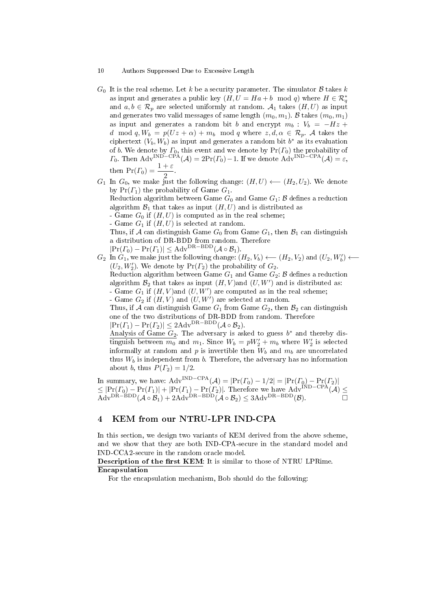$G_0$  It is the real scheme. Let k be a security parameter. The simulator B takes k as input and generates a public key  $(H, U = Ha + b \mod q)$  where  $H \in \mathcal{R}_q^*$ and  $a, b \in \mathcal{R}_p$  are selected uniformly at random.  $\mathcal{A}_1$  takes  $(H, U)$  as input and generates two valid messages of same length  $(m_0, m_1)$ . B takes  $(m_0, m_1)$ as input and generates a random bit b and encrypt  $m_b : V_b = -Hz +$ d mod  $q, W_b = p(Uz + \alpha) + m_b \mod q$  where  $z, d, \alpha \in \mathcal{R}_p$ . A takes the ciphertext  $(V_b, W_b)$  as input and generates a random bit  $b^*$  as its evaluation of b. We denote by  $\Gamma_0$ , this event and we denote by  $Pr(\Gamma_0)$  the probability of  $\Gamma_0$ . Then Adv<sup>IND−CPA</sup>( $\mathcal{A}$ ) = 2Pr( $\Gamma_0$ ) − 1. If we denote Adv<sup>IND−CPA</sup>( $\mathcal{A}$ ) = ε, then  $Pr(\Gamma_0) = \frac{1+\varepsilon}{2}$ .

 $G_1$  In  $G_0$ , we make just the following change:  $(H, U) \longleftarrow (H_2, U_2)$ . We denote by  $Pr(\Gamma_1)$  the probability of Game  $G_1$ .

Reduction algorithm between Game  $G_0$  and Game  $G_1: \mathcal{B}$  defines a reduction algorithm  $\mathcal{B}_1$  that takes as input  $(H, U)$  and is distributed as

- Game  $G_0$  if  $(H, U)$  is computed as in the real scheme;
- Game  $G_1$  if  $(H, U)$  is selected at random.

Thus, if A can distinguish Game  $G_0$  from Game  $G_1$ , then  $\mathcal{B}_1$  can distinguish a distribution of DR-BDD from random. Therefore

 $|\Pr(\Gamma_0) - \Pr(\Gamma_1)| \leq \text{Adv}^{\text{DR-BDD}}(\mathcal{A} \circ \mathcal{B}_1).$ 

 $G_2$  In  $G_1$ , we make just the following change:  $(H_2, V_b) \longleftarrow (H_2, V_2)$  and  $(U_2, W'_b) \longleftarrow$  $(U_2, W'_2)$ . We denote by  $Pr(\Gamma_2)$  the probability of  $G_2$ .

Reduction algorithm between Game  $G_1$  and Game  $G_2$ :  $\beta$  defines a reduction algorithm  $\mathcal{B}_2$  that takes as input  $(H, V)$  and  $(U, W')$  and is distributed as: - Game  $G_1$  if  $(H, V)$  and  $(U, W')$  are computed as in the real scheme;

- Game  $G_2$  if  $(H, V)$  and  $(U, W')$  are selected at random.

Thus, if A can distinguish Game  $G_1$  from Game  $G_2$ , then  $\mathcal{B}_2$  can distinguish one of the two distributions of DR-BDD from random. Therefore  $|\Pr(\Gamma_1) - \Pr(\Gamma_2)| \leq 2\text{Adv}^{\text{DR}-\text{BDD}}(\mathcal{A} \circ \mathcal{B}_2).$ 

Analysis of Game  $G_2$ . The adversary is asked to guess  $b^*$  and thereby distinguish between  $m_0$  and  $m_1$ . Since  $W_b = pW_2' + m_b$  where  $W_2'$  is selected informally at random and p is invertible then  $W_b$  and  $m_b$  are uncorrelated thus  $W_b$  is independent from  $b$ . Therefore, the adversary has no information about b, thus  $P(\Gamma_2) = 1/2$ .

In summary, we have:  $\text{Adv}^{\text{IND-CPA}}(\mathcal{A}) = |\text{Pr}(T_0) - 1/2| = |\text{Pr}(T_0) - \text{Pr}(T_2)|$  $\leq |Pr(\Gamma_0) - Pr(\Gamma_1)| + |Pr(\Gamma_1) - Pr(\Gamma_2)|$ . Therefore we have Adv<sup>IND–CPA</sup>(A)  $\leq$  $\mathrm{Adv}^{\mathrm{DR-BDD}}(\mathcal{A}\circ\mathcal{B}_1) + 2\mathrm{Adv}^{\mathrm{DR-BDD}}(\mathcal{A}\circ\mathcal{B}_2) \leq 3\mathrm{Adv}^{\mathrm{DR-BDD}}(\mathcal{B}).$ 

## 4 KEM from our NTRU-LPR IND-CPA

In this section, we design two variants of KEM derived from the above scheme, and we show that they are both IND-CPA-secure in the standard model and IND-CCA2-secure in the random oracle model.

Description of the first KEM: It is similar to those of NTRU LPRime. Encapsulation

For the encapsulation mechanism, Bob should do the following: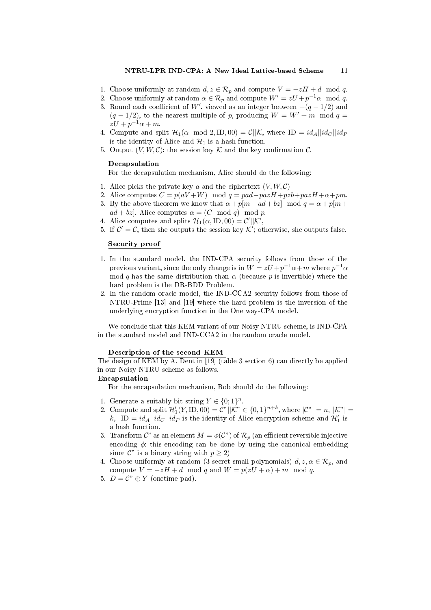- 1. Choose uniformly at random  $d, z \in \mathcal{R}_p$  and compute  $V = -zH + d \mod q$ .
- 2. Choose uniformly at random  $\alpha \in \mathcal{R}_p$  and compute  $W' = zU + p^{-1}\alpha \mod q$ .
- 3. Round each coefficient of W', viewed as an integer between  $-(q-1/2)$  and  $(q-1/2)$ , to the nearest multiple of p, producing  $W = W' + m \mod q =$  $zU + p^{-1}\alpha + m.$
- 4. Compute and split  $\mathcal{H}_1(\alpha \mod 2, \text{ID}, 00) = \mathcal{C}||\mathcal{K}$ , where  $\text{ID} = id_A||id_C||id_P$ is the identity of Alice and  $\mathcal{H}_1$  is a hash function.
- 5. Output  $(V, W, \mathcal{C})$ ; the session key  $\mathcal K$  and the key confirmation  $\mathcal C$ .

### Decapsulation

For the decapsulation mechanism, Alice should do the following:

- 1. Alice picks the private key a and the ciphertext  $(V, W, C)$
- 2. Alice computes  $C = p(aV + W) \mod q = pad pazH + pzb + pazH + \alpha + pm$ .
- 3. By the above theorem we know that  $\alpha + p[m + ad + bz] \mod q = \alpha + p[m + b]$  $ad + bz$ . Alice computes  $\alpha = (C \mod q) \mod p$ .
- 4. Alice computes and splits  $\mathcal{H}_1(\alpha, \text{ID}, 00) = \mathcal{C}' || \mathcal{K}',$
- 5. If  $\mathcal{C}' = \mathcal{C}$ , then she outputs the session key  $\mathcal{K}'$ ; otherwise, she outputs false.

### Security proof

- 1. In the standard model, the IND-CPA security follows from those of the previous variant, since the only change is in  $W = zU + p^{-1}\alpha + m$  where  $p^{-1}\alpha$ mod q has the same distribution than  $\alpha$  (because p is invertible) where the hard problem is the DR-BDD Problem.
- 2. In the random oracle model, the IND-CCA2 security follows from those of NTRU-Prime [13] and [19] where the hard problem is the inversion of the underlying encryption function in the One way-CPA model.

We conclude that this KEM variant of our Noisy NTRU scheme, is IND-CPA in the standard model and IND-CCA2 in the random oracle model.

### Description of the second KEM

The design of KEM by A. Dent in [19] (table 3 section 6) can directly be applied in our Noisy NTRU scheme as follows.

### Encapsulation

For the encapsulation mechanism, Bob should do the following:

- 1. Generate a suitably bit-string  $Y \in \{0,1\}^n$ .
- 2. Compute and split  $\mathcal{H}'_1(Y, \text{ID}, 00) = C^n ||\mathcal{K}^n \in \{0, 1\}^{n+k}$ , where  $|\mathcal{C}^n| = n$ ,  $|\mathcal{K}^n| =$ k, ID =  $id_A||id_C||id_P$  is the identity of Alice encryption scheme and  $\mathcal{H}_1$  is a hash function.
- 3. Transform  $\mathcal{C}^n$  as an element  $M = \phi(\mathcal{C}^n)$  of  $\mathcal{R}_p$  (an efficient reversible injective encoding  $\phi$ : this encoding can be done by using the canonical embedding since  $\mathcal{C}^n$  is a binary string with  $p \geq 2$ )
- 4. Choose uniformly at random (3 secret small polynomials)  $d, z, \alpha \in \mathcal{R}_p$ , and compute  $V = -zH + d \mod q$  and  $W = p(zU + \alpha) + m \mod q$ .
- 5.  $D = C^{\prime\prime} \oplus Y$  (onetime pad).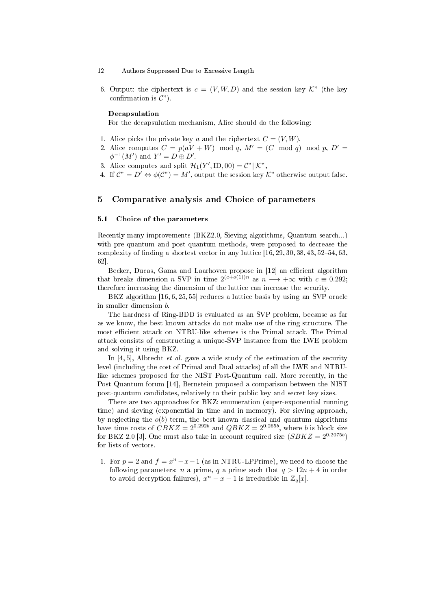- 12 Authors Suppressed Due to Excessive Length
- 6. Output: the ciphertext is  $c = (V, W, D)$  and the session key  $\mathcal{K}$ " (the key confirmation is  $\mathcal{C}$ ").

## Decapsulation

For the decapsulation mechanism, Alice should do the following:

- 1. Alice picks the private key a and the ciphertext  $C = (V, W)$ .
- 2. Alice computes  $C = p(aV + W) \mod q$ ,  $M' = (C \mod q) \mod p$ ,  $D' =$  $\phi^{-1}(M')$  and  $Y' = D \oplus D'$ .
- 3. Alice computes and split  $\mathcal{H}_1(Y', \text{ID}, 00) = \mathcal{C}^{\prime\prime} \parallel \mathcal{K}^{\prime\prime}$ ,
- 4. If  $\mathcal{C}^n = D' \Leftrightarrow \phi(\mathcal{C}^n) = M'$ , output the session key  $\mathcal{K}^n$  otherwise output false.

## 5 Comparative analysis and Choice of parameters

### 5.1 Choice of the parameters

Recently many improvements (BKZ2.0, Sieving algorithms, Quantum search...) with pre-quantum and post-quantum methods, were proposed to decrease the complexity of finding a shortest vector in any lattice  $[16, 29, 30, 38, 43, 52-54, 63,$ 62].

Becker, Ducas, Gama and Laarhoven propose in [12] an efficient algorithm that breaks dimension-n SVP in time  $2^{(c+o(1))n}$  as  $n \longrightarrow +\infty$  with  $c \equiv 0.292$ ; therefore increasing the dimension of the lattice can increase the security.

BKZ algorithm [16, 6, 25, 55] reduces a lattice basis by using an SVP oracle in smaller dimension b.

The hardness of Ring-BDD is evaluated as an SVP problem, because as far as we know, the best known attacks do not make use of the ring structure. The most efficient attack on NTRU-like schemes is the Primal attack. The Primal attack consists of constructing a unique-SVP instance from the LWE problem and solving it using BKZ.

In  $[4, 5]$ , Albrecht *et al.* gave a wide study of the estimation of the security level (including the cost of Primal and Dual attacks) of all the LWE and NTRUlike schemes proposed for the NIST Post-Quantum call. More recently, in the Post-Quantum forum [14], Bernstein proposed a comparison between the NIST post-quantum candidates, relatively to their public key and secret key sizes.

There are two approaches for BKZ: enumeration (super-exponential running time) and sieving (exponential in time and in memory). For sieving approach, by neglecting the  $o(b)$  term, the best known classical and quantum algorithms have time costs of  $CBKZ = 2^{0.292b}$  and  $QBKZ = 2^{0.265b}$ , where b is block size for BKZ 2.0 [3]. One must also take in account required size  $(SB KZ = 2^{0.2075b})$ for lists of vectors.

1. For  $p = 2$  and  $f = x<sup>n</sup> - x - 1$  (as in NTRU-LPPrime), we need to choose the following parameters: *n* a prime, *q* a prime such that  $q > 12n + 4$  in order to avoid decryption failures),  $x^n - x - 1$  is irreducible in  $\mathbb{Z}_q[x]$ .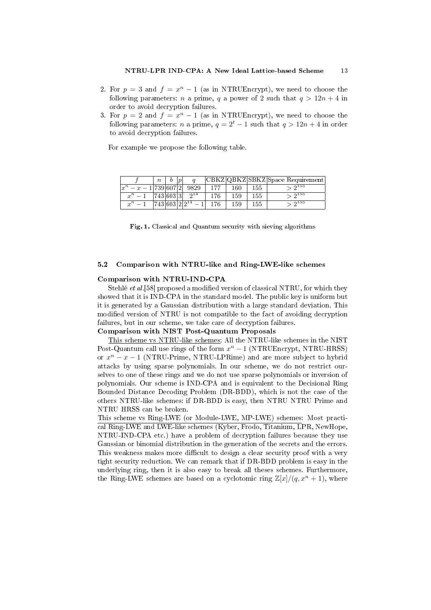- 2. For  $p = 3$  and  $f = x<sup>n</sup> 1$  (as in NTRUEncrypt), we need to choose the following parameters: *n* a prime, *q* a power of 2 such that  $q > 12n + 4$  in order to avoid decryption failures.
- 3. For  $p = 2$  and  $f = x<sup>n</sup> 1$  (as in NTRUEncrypt), we need to choose the following parameters: *n* a prime,  $q = 2^t - 1$  such that  $q > 12n + 4$  in order to avoid decryption failures.

For example we propose the following table.

|                                | $\boldsymbol{n}$ |  |          |     |     |     | CBKZ QBKZ SBKZ Space Requirement |
|--------------------------------|------------------|--|----------|-----|-----|-----|----------------------------------|
| $ x^n$<br>$- x - 1 739 607 2 $ |                  |  | 9829     | 177 | 160 | 155 | $\sim$ $2^{155}$                 |
| $x^n-1$                        | 743 603 3        |  | $2^{14}$ | 176 | 159 | 155 | $\sqrt{2^{155}}$                 |
| $x^n-1$                        | 743 603 2        |  |          | 176 | 159 | 155 | $\sim$ 9155                      |

Fig. 1. Classical and Quantum security with sieving algorithms

## 5.2 Comparison with NTRU-like and Ring-LWE-like schemes

### Comparison with NTRU-IND-CPA

Stehlé et al.<sup>[58]</sup> proposed a modified version of classical NTRU, for which they showed that it is IND-CPA in the standard model. The public key is uniform but it is generated by a Gaussian distribution with a large standard deviation. This modified version of NTRU is not compatible to the fact of avoiding decryption failures, but in our scheme, we take care of decryption failures.

## Comparison with NIST Post-Quantum Proposals

This scheme vs NTRU-like schemes: All the NTRU-like schemes in the NIST Post-Quantum call use rings of the form  $x^n - 1$  (NTRUEncrypt, NTRU-HRSS) or  $x^n - x - 1$  (NTRU-Prime, NTRU-LPRime) and are more subject to hybrid attacks by using sparse polynomials. In our scheme, we do not restrict ourselves to one of these rings and we do not use sparse polynomials or inversion of polynomials. Our scheme is IND-CPA and is equivalent to the Decisional Ring Bounded Distance Decoding Problem (DR-BDD), which is not the case of the others NTRU-like schemes: if DR-BDD is easy, then NTRU NTRU Prime and NTRU HRSS can be broken.

This scheme vs Ring-LWE (or Module-LWE, MP-LWE) schemes: Most practical Ring-LWE and LWE-like schemes (Kyber, Frodo, Titanium, LPR, NewHope, NTRU-IND-CPA etc.) have a problem of decryption failures because they use Gaussian or binomial distribution in the generation of the secrets and the errors. This weakness makes more difficult to design a clear security proof with a very tight security reduction. We can remark that if DR-BDD problem is easy in the underlying ring, then it is also easy to break all theses schemes. Furthermore, the Ring-LWE schemes are based on a cyclotomic ring  $\mathbb{Z}[x]/(q, x^n + 1)$ , where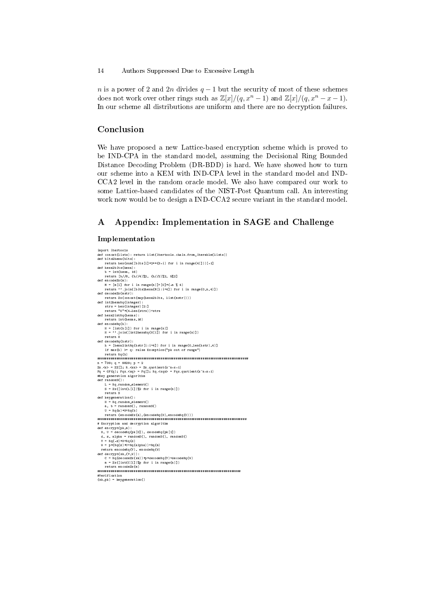n is a power of 2 and 2n divides  $q-1$  but the security of most of these schemes does not work over other rings such as  $\mathbb{Z}[x]/(q, x^{n} - 1)$  and  $\mathbb{Z}[x]/(q, x^{n} - x - 1)$ . In our scheme all distributions are uniform and there are no decryption failures.

## Conclusion

We have proposed a new Lattice-based encryption scheme which is proved to be IND-CPA in the standard model, assuming the Decisional Ring Bounded Distance Decoding Problem (DR-BDD) is hard. We have showed how to turn our scheme into a KEM with IND-CPA level in the standard model and IND-CCA2 level in the random oracle model. We also have compared our work to some Lattice-based candidates of the NIST-Post Quantum call. An interesting work now would be to design a IND-CCA2 secure variant in the standard model.

## A Appendix: Implementation in SAGE and Challenge

### Implementation

```
import itertools
def concat(lists): return list(itertools.chain.from_iterable(lists))
def bits2hexa(bits):
 return hex(sum([bits[i]*2**(3-i) for i in range(4)]))[-1]
def hexa2bits(hexa):
 b = int(hexa, 16)<br>return [b//8, (b//4)%2, (b//2)%2, b%2]<br>def encodeZx(m):<br>M = [m[i] for i in range(n)]+[0]*(-n % 4)<br>return ''.join([bits2hexa(M[i:i+4]) for i in range(0,n,4)])
def decodeZx(mstr):
          return Zx(concat(map(hexa2bits, list(mstr))))
 def int2hexaRq(integer):
strs = hex(integer)[2:]
return "0"*(4-len(strs))+strs
def hexa2intRq(hexas):
 return int(hexas,16)
def encodeRq(h):
           H = [int(h[i]) for i in range(n)]<br>H = ''.join([int2hexaRq(H[i]) for i in range(n)])<br>return H
 def decodeRq(hstr):<br>
h = [hexa2intRq(hstr[i:i+4]) for i in range(0,len(hstr),4)]<br>
if max(h) > q: raise Exception("pk out of range")<br>
return Rq(h)
 ###############################################################################
 n = 739; q = 9829; p = 2<br>
z = x^{-1/3}; q = 9829; p = 2<br>
z = x^{-1/3}; z = x^{-1/3}; z = x^{-1/3}; z = x^{-1/3}; z = x^{-1/3}; z = x^{-1/3}; z = x^{-1/3}; z = x^{-1/3}; z = x^{-1/3}; z = x^{-1/3}; z = x^{-1/3}; z = x^{-1/3}; z = x^{-1/3}; z = x^{-1/3};
 \begin{array}{ll} \texttt{return } \texttt{S} & \texttt{return } \texttt{S} & \texttt{return } \texttt{S} & \texttt{if} & \texttt{if} & \texttt{if} & \texttt{if} & \texttt{if} & \texttt{if} & \texttt{if} & \texttt{if} & \texttt{if} & \texttt{if} & \texttt{if} & \texttt{if} & \texttt{if} & \texttt{if} & \texttt{if} & \texttt{if} & \texttt{if} & \texttt{if} & \texttt{if} & \texttt{if} & \texttt{if} & \texttt{if} & \texttt{if} & \texttt{if} & \texttt{if}# Encryption and decryption algorithm
 def encrypt(pk,m):<br>
H, U = decodeRq(pk[0]), decodeRq(pk[1])<br>
H, U = RecodeRq(pk[0]), randomS(), randomS()<br>
V = Rq(-2)*H*Rq(d)<br>
V = P*(Rq(z)*U*Rq(alpha))*Rq(m)<br>
return encodeRq(V), encodeRq(W)<br>
def decrypt(sk,(V,V));<br>
C = R
         m = 2x(\text{int}(\text{C}[i])\text{% for }i\text{ in }range(n))return encodeZx(m)
  ###########################################################################
 #Verification
(sk,pk) = keygeneration()
```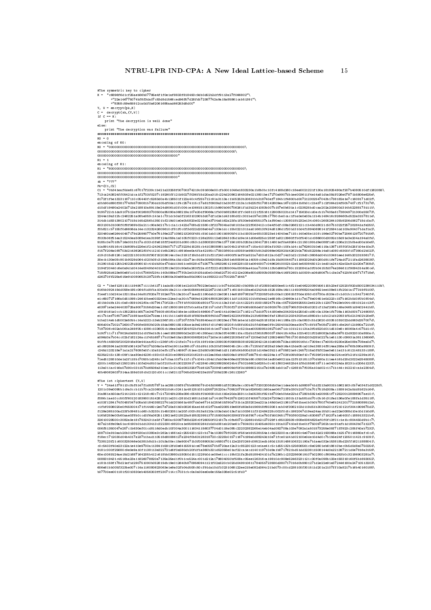#The symmetric key to cipher<br>K = "c6896f6did:25aeb86b07795e4f1f0e1af8833f818493c9db0d52b2dff9i13a27f066802"\<br>+"23546775074bf8f3da07c83d8d1566ced96f57d28fdb72387742a9a15a85861cab51391"\<br>+"8358c59e55912ca0df0a62061685aad6625  $=$  encrypt (pk, K)  $C = \text{decrypt}(\text{sk},(V,W))$ <br>if  $C == K$ : if C == K: print "The decryption is well done" else: print "The decryption was failure" ##################################################################### K0 = 0 encoding of K0: K0 = "00000000000000000000000000000000000000000000000000000000000000000000000\ 000000000000000000000000000000000000000000000000000000000000000000000000\ 000000000000000000000000000000000000000000" K1 = 1 encoding of K1: K1 = "80000000000000000000000000000000000000000000000000000000000000000000000\ 000000000000000000000000000000000000000000000000000000000000000000000000\ 000000000000000000000000000000000000000000" sk = "???" Pk=(C1,C2)<br>7i3ca243824f105421dcaif2703f0237c19290ff121b5027f036f15d20aa318c224d2086216450f90213801be17270a9907db1ee00361122f1130a181925490af207b4080510df1262055\<br>7i3ca243824ff05421dcaif2703f0237c19290ff121b5027f036f15d20aa 603130b31006f0f8f069b02a211c90a9d217b1c1a1c1422d708bd21580c3f227804ba0b81015e122f063412cc0e4f0dfc08a02662121c1b4b0d8021c50751022f257202841afe25b\ f0b821cb7155f0d6606da14ec1323242609610cf81f0c0f3d022d208e04a7133e1dcc15b0221311aa016613f424d8136d1f201d310d4f18940698141f25941dd103a904071daf1a2\ 320460de626440457179d2599077b0e761f6e2271056213260f481c5b01ab01901b5905f411bd15051e48103323a414040ea7115c140e05e110fc196e02790be7206612972079156\ f033b06f51ea315240ea5089e1ea3199f124a059a1a0105f0223c126a255112e52643105d1d9e141d06e825dc259f1a8213960ffb0f5401dc086600d3092d18d91e3e204a194a0fa\ 9185c0e7018b716e001fd17ac033c0fe818ff24d6201d080c053c1d3808200f8e1377156100b3253a13641729114801ef0a49264c211501991d9e088f1d6c236a212b0bed00ab0e5\ b1a8914fd16c413d609bd226e1f2c2434238d07171273229d15281cb41038089811a004b21f48147c15a410180af1053c10fa1d4c1d76260310e5115a13871fff0f3d25f104e10a3\ f157f206a0f8703d21436262f0f4112101b6b23621c9816ee0a4f1a42195c170503f60dcd00591e9800b913d3066e062920d4262b0a780d52256a14a81d080c9300f107380d2b023\ d19c315d9126c1e222213010518f90f15203614ec0ec3191f18db1d81bf21f240c4900f51ef91a521a7d03c612ac0d2714d31d2c219d0c3606dd04b103491eed146b20231936171\<br>30ecb130e08c901b0029d06ec020b08c316Bb084a15dc02d7iec918a0098305ba25b816105061

C2 = "1bef12811511194907c111b413711ada05c0061e12d01576023e0add11cb074d0d250c0b085b1fcf20550a550ee51c4f21be046220090b56115b23ef12520f920d500239034110b\ 616bb092419dd058e195c064f1d8f1a100a5418a211cc0e4505661662226721b513f71c601b9103ae0d2b24db1525159a16d111450f68204a09921ee108e51fb20d1a177319f5105\ f1eef110d241e132115ad14a81f820a7f152e072b13a20cd71aed21190dab212e026114e81897082b07f2205f0d8c00a0120615ff0de1050c03730ac520ec0c1d01b11c5417240f4\ e1c650727166a0d51098c24610bee00320eec22ea0ca30cb7069e142804f80529026011df115302101b9b0ea21e6816bc24960e1d1c7e178e00451e0d223c157b162b0d0f0b0f04a\ d01bb0dfa131c0a8c0591042f0ac00794170f22bc17ff1ff003330d801f72141113a31bfc2141222f11500158247415ac05782269255512e6120b112307fe23eb044c081012dc13f\ e03971ebe2444033725a90073156d20ea1c5f139301991ffb0ca61af201b71dbf17030f2713f406b508de0f1b0803076c2327065f03430d0202cf13af206b149a04651d9402441b5\ c0919161a0ccb1352255d16571e34075408c90f0a016e1ecd05e0149606c71e40141d09e02171162c17dd197014180e9e2043024d250d0cd80c0a130e1fb708a1163d00b7124908b\ e117b1ef70f07264721881aef22e70dea11411b111a8915d81f8509a609f40dd706e6242204f808a213b6089e0faf138d0212034303be1d860dbc1db121db20931f5d213402b20e8\ b1ba214eb1d5002e50bbc14ab222c13eb236f181c137207ff0b7618540ea1019023ed17951ebe1d1d204a2518182d1441188a12bc0a0803c51d2620c003510fd022dd063d257007d\ 606d00a720217263017b90fe0083b020b18da0680155105ae1a9e21691fc01f4601820fcb08fd00d31ffd06ee0f9c250400d30eaa00470c8f187e08d721981c8e24f121980a721b9\ 7197306c402ab061a249f05c1086c103605cb16ea0a8f254f02bf16e316cb1e0710a517f41c521bae0058095106270d471dc101b211131a3f0d520d011d510e8c16060a4c075d1cb\ b19f711c71179024d0d5521dc0f8e1b3b1cee018525950d2e23140c350ea1153a0f04088110ac02db1f3615f6003718d418c40ba102b4021f02d9082a0d8a067512d922010a850ac\ a096d0a7b04cc02bf182124ac1f45168717b103e615ab259000682624172d0e141d9622030b6f1471209e03df1255246607951730158d203d25b0227a1e51130c09931a381136066\ 91ffb149305f2002916a80e441aaf02cc236f1f0c21fa0c741cf3119f140e1309030f0568050819292264212410d606b703ad1959016b1c7309ec17e005c9230e25e009a708ea0d7\ a0c8925941ad308fd0614247b027b206a0a4f0e19011a098c07c5id9b110b20bf0946045c24cc05c7125b0f1625a316e916a413de05ca019e139314f814ea258e14760b390a95091\<br>c245d123218e71a1a217609fe0fc10a510efb127a145907c51eec23d50b0609e51a31b8b04b3 d200c14820a31250219b110fe24d8101a0f210bc61302233917c422840c892389250624b41750216602d625bc0c401f60244523d41f8d1556018711ce040024da18231cd206d1232\<br>113a011ac016a07d90c0311570d6506a310ee12c2142d0923257004363030636036031078043

#### #The 1st ciphertext (V,W)

r spc cipmereers<br>"24a4if79113c0bf5147f1d8f07871ace255109f9175b0685079c04fd06691dff026a0ecc00b407f2002006db0be11dea0d4b1d9809741d3213a9031b1862163c0b7e034f1d02250\ 1201c09e0095b1c9a0ccb11b70ca2106009210d4c02411a481251031d255725220ac7055207f61ab8265621b80aae061723fa030b218710a7017518d308ac1939142a0dd8162b164\  $31 a861 a b50 d472141215c121218c60c7c2172049b208 a086c05481f0b060810d11b5e20d a25911c3 a05381f921b6700e b0b4e22b d17280b5921e209051f7125200128096907a e10c\%c17200d2808607a0d2808607a0d2808607a0d2808607a00000000000000000000000000000$ 32610028500c3082a0e181783243116f171860ac500970684236c17 260507021817ac0fa6072c226614b52127029f1c5503509c80860064625af10f0113f10c7604450d9b1c702655a66190f01526764604852af10f0113f10c1804450d9b1c7360952af10f113f0c0925af10f113 60ec006fd24ae15d21687164205b412c618bb03980d18050d1511229b0dce08e41ccc19b021fa26d5189404101d7a236b1c2322860619107b02f60cf6064a253b0c32186903281a7\<br>0088319431c4516ba23a11826078820a7135a25ed1f0b1ca524ac001d212a179604050bf508a a181b159f178d21ef1d290751090b052819db19e012640b8709560941121f02a520cb020d04991061178405b723930d380717016d0b9901271d2e22e91e372446180a24710513203\<br>606e81bb005f323be007c14a116080623063e1e9a02fb04d50c50cf91da10df102310e812e08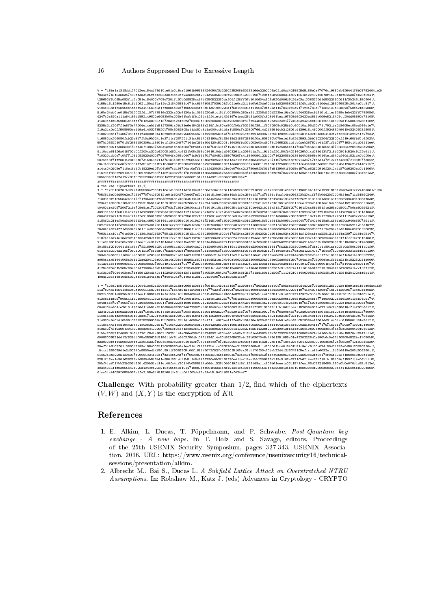W = "18ba1a1318dd127012ee184a178d10ce01e018ea21961b96185424090f3d2290235308b30f3316de22b0003a0f1d0ad4215925d5186e0a47076c19580ab42644176b087524041e2\ 70d4c17b010da0e47160e1dad12af1dbb03d30c6d19cc243a042e12891e2b0560066f20190315205319671c9b1d9a2060035b1821051a12c1024b0caf1a951faf04be074b25f3241\ b25690f6c095a082f1c2c051e184000a708e72017130b0d8825aa14b7250522230daf0df125f706b1010604a903e520d006d912da03ac0053222d1d50224900d11f3b2431150904c\ 6155a1311250e15c511b1062c13ba171a1fec213403881c471cc6147509f7039105fb0f1e0cd21b1e0b6f0de70dfa1a320035082f1fdb1db20c910ded1286076925c3014e0bc817c\ 219b405da1bb625ee1ead12d411a60d0e1cf006a40cd7196520041a3101eb1923220a17a016d800d11195079f19ce1147040c19e2171f0a760e5713651d5e00a020750e421a32086\ 516bc24eb0ce015bf0f2022fd1107175816e222ca02e4120a1a10161220a61c191fc003800c250aa31c2208df22b223be19ba0abb244325ec1d910cd11ec6258e1eb4227f078908d\ d247c0a8f0a111a54156b18521c9802a6053b0ba003a41bab1fb109dc1ff41ecb142d167e1eed23b31a000fc308f41bea197308d603420ed51fc009e5216409cc20dd05650e73108\ 41d631afe0e59085e1cfe178125e8085c137c0e81241b0fe70886016302be0e0c0b3e2552060f107b24460be819dd23cd2177245d0d2425ee10861b511e46082a11500b362661109\ 8235a21ff097f1e570a7720de1ceb1fa51f73091c0bb31e6e1642155a219f1bc80ca800fb0af302f90f3911f9072908c025bb0c60010a193d20e71c7921ba218605ec03ee244e1e7\<br>219a21c0e02f508960ee119a41403078520b708c305f508a11dd80c5d1a0080c8c1250076614 9110e1e61126a015700b00f200ca302d420081d6214c6121b08c315b0141610da1e24032611a2044b1afb119d12ef20180fb40214026b01cd083d13b7218b20801c520c9122e611c\<br>7103201db0e7c0b77125f082523d02057097004fc084b04071a9f16f70f7d04501335079207a 90cbd18f71ff001a20450107d1b9a0dc11d7a165a0f3f0cf50a45045f0af025401d8e1e4c181f25da0e4b25c525711575250a16f0214d07a71bcd14721c2c1a43097c180f077d0bb\<br>a14ca042d08f1c5841fd5142101f5218c06fd1f6b08b3238510b22323086a118f1ee6080016b 905b00ed71afd127708f502bb23840efb0014226f0e430e330f151c1114d921c908a6028919ec" ########################################################################## # The 2nd ciphertext (X,Y) X = "1c15150f0cbd227f2555064f0681216e1d1d0af1id73184d1d800e7c0e1e13a11645224d05b218201cc129c0bd81e6e127c19631eb11d5e192818f51c9a0be31c2c248a06171d6\<br>705f615e006d80e2e17281477074c260912ce01b324370bed07ef22a11dc51be40a5a16ab 705f6156006430e2617281477074c260912ce01b324370bed07ef22a1idc51bed0a5afab1d0256e1bf10361c1bf113d09610200401070404d15a81a651e920a900e301311f11406cc33e419677814114555094cc1671471105509299<br>103318f11585604c41647071f0ba308f10e02 502c324dd147e23e401ac0b0b25d6179311e61a2c015720e91c56239215fe0967183500481c201bf1168b0de0099f1cd70b1f0ebb25001a68254303f519a91ec900d521a70ce10f2\ 70d04146724ff1d050237161c14d5083d0de206890fc5180011e101cb196f0d9a238b022e2619244921c30c6c13a306020d340da4193e0352068f1c2e25bc1ad3160a08250cb6025\ 706311ac10c170ce30a03013910df23830758121609830151211423521568061600c417df24aa21800c5d202c0d361fea024a06361af103ca1eca22812181181a239712181e25147\ 918741a4a24a10e2823431334258c1f49179317c7169c14a213f3258705290d9520c200f4136e00e124ea13f312690e3013dc0e531491007a1500239e048e1d1f17c7142301b4001\ 211e8199018470bc305c91eac1ca31fcf181d041a00e91beb221001281a45044921212277085501361af00d851de405b6225f045920421b5a009b196823e5185c18d300cd12a6080\ 301861f2010441c5f148c17f2189915230cfc09511e200c8a04da209a12e90c0619e119c119be06de230e0fe11f8117fa22130ff00be6137d1a2c1c891aee00fc0df80a0911c21f9\ 61dc91d02242219b7060d2012197f138a0c7523d40d9e17e8058017011b980af713b006a604af05c91e190b28127c1e4d01e1176a26212214042715bc07d00cd506331d8b15b2136\ 709de0e3d051116941ce006b514f60ea3198503371ed914021d231f6a086c21b7216217e211bc0a3116a01c5816ca0e291a2224da06b720270edc1f7c108d14ef1a5d1ba30bb522bV<br>a06ba1ac6144c006a0cfd22ae234103a0003e14a0b6c418d921f16ab1bd52e104b40ac000323 Y = "105e21f514801a2b20b413b521320ef018c218aa06681d0f1b87091b114b0fc315871d290ae417a602aa18fc0b7d0a6e1f850dcd02f7059a0ab125600d3e15e91ee115ca0dac1a6\ 2127e04c316541bed040a1000115e00ec1d3117b614a912c124981bf4177423c70f160a7d028f159f09e4002b1d6425000c002091197418480cf30e4716101b35095713ca0fdf0a2\ 5027a009b1e9920c915f61ea1198524b21af41b8b1bbb1534064417051b40204e1f4604e8225e127202db1a4405351cc0142012321f9707010e3b1067152a24b701fc1ed8160b1e1\ e13fe1fba257908a1113218960c11232f12621f9e157a0b081f9c00501abb1251252707b51de6129f06080f8f03ba20a806a50d65162523cb1c771e90022218d62391135b2429174\ 804ef16c7247c05c715540d6f0008211001c720f222ca10e61ce902b2129a0b10252e163d1a4423640fda1ca219840b011c621ba51e7517a90e9f09e61c43202e10af113906d70a8\ 0040d04ed04ce201014f616d114b51c9710d504482080240f208f0edf018407aa16d2060212aa25491f7821390f9c1cb106d11eac152009400fcd22c4072e098616cf1ef60b6d171\ c23cf012b1af622b00a1f0dd716c608a01ccd01e3258720ff1e3021330d1902a2047f253915670574166a19900740176d00e4187f03d90d491e1f0cf51f120ace1ec50ed1237e090\ 21be118d91a3f0fba05150aae171d20fc0af51adf09e021841ae41a9d013a20fe231604f409f40b66202d16a2182112e21e8702d1011e1348115411ba242d0e6d0464260a078b122\ 214380a5e07410b6910851375239903fa1bbf032b127b14c4096e0d3e1f11149f0ce41ffe067d04df0e1020d90f471ab91e3e168c057905be1f661dd314e01ec6195001d51a3d171\ 2118c14431cbd19cc254c21f00b3520181271106422390939248312a60f420266239416651efb0940025021281ef1104213651d42002a1e3411d7175715951d720d971990121e0f6\ f1ea6074319d60c091390188a06c100950736058f01bc13be20b1012e248e06391f29061d10282216251422ea20080a9013fb1dde0d6b19e904e00ae61c7d175e20200499194513a\ 51bba2067217409610b6b1f201f8d1a9807cf0231141a056e038704df2483214201ad0cab05c213b61ed40627187f0f2322430d910080249f1eb4160c0c2c1e5e158f0cd8242c11d\ 60086009521dd127821dd095a253609d318611d781a6d02f80db10421134f14a30d99265022eb128b0307045c148d1351058e01a42202228d0af90b6c0e22130508d822ba17050b5\ a229908fe144a08c20cfe23361b2207b00b8c020c23db019123f704311ebc07070f23256b19e908ac18811d2f02481ca71ec1226c261c2286000106eb0a721706209712b605d8236\ 30ef01b6b03f01c0500d8193a19840037170025380e8a1ea2141f118812b41ca0205206ea2128005908a811d9010d1bc4019401b91c9e179100c024c50d0125fa0d501605208f0ac\ c0cca1889089d1e2d00340a8500ed17f90c8911f9089305c00f161f72072f027e03f30f5103ac03cb170f00c60bcb22d412d3073105ef1c1e1fe6032e116d216410e203d306390c1\ 51b5013a6229a1396087409091c31135f17a31bea24a71c7600ce0e808d51c5e1be60d5723a813f70f840527114c0a36050624e222a00cd21e5b17bf05f8063c1e60063e06e412f\<br>8251f12ca1e30162622fa1d590db516b41e9801631eb71b5c148a2432230e0b2f169f20e41de7 20bf41ef017bb22b206b920cd20b31cd11ec40fe41730114b03551f4e06dc132910d6019f1d571129143a11c809b61eee1a0011571fea163d0382186501690a0b0e070d1e25c512eV<br>dodb405511a0305a619d025a404cf1293215c16ae184101471eee0de1004f23d51da3d4b1195

**Challenge:** With probability greater than  $1/2$ , find which of the ciphertexts  $(V, W)$  and  $(X, Y)$  is the encryption of K0.

## References

- 1. E. Alkim, L. Ducas, T. Pöppelmann, and P. Schwabe. Post-Quantum key exchange - A new hope. In T. Holz and S. Savage, editors, Proceedings of the 25th USENIX Security Symposium, pages 327-343. USENIX Association, 2016. URL: https://www.usenix.org/conference/usenixsecurity16/technicalsessions/presentation/alkim.
- 2. Albrecht M., Bai S., Ducas L. A Subfield Lattice Attack on Overstretched NTRU Assumptions. In: Robshaw M., Katz J. (eds) Advances in Cryptology - CRYPTO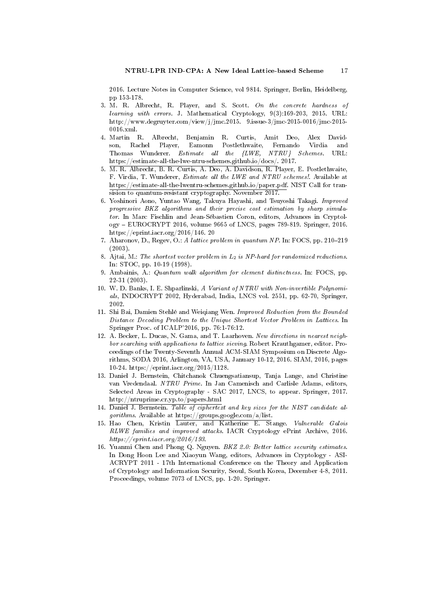2016. Lecture Notes in Computer Science, vol 9814. Springer, Berlin, Heidelberg, pp 153-178.

- 3. M. R. Albrecht, R. Player, and S. Scott. On the concrete hardness of learning with errors. J. Mathematical Cryptology, 9(3):169-203, 2015. URL: http://www.degruyter.com/view/j/jmc.2015. 9.issue-3/jmc-2015-0016/jmc-2015- 0016.xml.
- 4. Martin R. Albrecht, Benjamin R. Curtis, Amit Deo, Alex Davidson, Rachel Player, Eamonn Postlethwaite, Fernando Virdia and Thomas Wunderer. Estimate all the {LWE, NTRU} Schemes. URL: https://estimate-all-the-lwe-ntru-schemes.github.io/docs/. 2017.
- 5. M. R. Albrecht, B. R. Curtis, A. Deo, A. Davidson, R. Player, E. Postlethwaite, F. Virdia, T. Wunderer, Estimate all the LWE and NTRU schemes!. Available at https://estimate-all-the-lwentru-schemes.github.io/paper.pdf. NIST Call for transision to quantum-resistant cryptography. November 2017.
- 6. Yoshinori Aono, Yuntao Wang, Takuya Hayashi, and Tsuyoshi Takagi. Improved progressive BKZ algorithms and their precise cost estimation by sharp simulator. In Marc Fischlin and Jean-Sébastien Coron, editors, Advances in Cryptology EUROCRYPT 2016, volume 9665 of LNCS, pages 789-819. Springer, 2016. https://eprint.iacr.org/2016/146. 20
- 7. Aharonov, D., Regev, O.: A lattice problem in quantum NP. In: FOCS, pp. 210-219 (2003).
- 8. Ajtai, M.: The shortest vector problem in  $L_2$  is NP-hard for randomized reductions. In: STOC, pp. 10-19 (1998).
- 9. Ambainis, A.: Quantum walk algorithm for element distinctness. In: FOCS, pp. 22-31 (2003).
- 10. W. D. Banks, I. E. Shparlinski, A Variant of NTRU with Non-invertible Polynomials, INDOCRYPT 2002, Hyderabad, India, LNCS vol. 2551, pp. 62-70, Springer, 2002.
- 11. Shi Bai, Damien Stehlé and Weiqiang Wen. Improved Reduction from the Bounded Distance Decoding Problem to the Unique Shortest Vector Problem in Lattices. In Springer Proc. of ICALP'2016, pp. 76:1-76:12.
- 12. A. Becker, L. Ducas, N. Gama, and T. Laarhoven. New directions in nearest neighbor searching with applications to lattice sieving. Robert Krauthgamer, editor. Proceedings of the Twenty-Seventh Annual ACM-SIAM Symposium on Discrete Algorithms, SODA 2016, Arlington, VA, USA, January 10-12, 2016. SIAM, 2016, pages 10-24. https://eprint.iacr.org/2015/1128.
- 13. Daniel J. Bernstein, Chitchanok Chuengsatiansup, Tanja Lange, and Christine van Vredendaal. NTRU Prime. In Jan Camenisch and Carlisle Adams, editors, Selected Areas in Cryptography - SAC 2017, LNCS, to appear. Springer, 2017. http://ntruprime.cr.yp.to/papers.html
- 14. Daniel J. Bernstein. Table of ciphertext and key sizes for the NIST candidate algorithms. Available at https://groups.google.com/a/list.
- 15. Hao Chen, Kristin Lauter, and Katherine E. Stange. Vulnerable Galois RLWE families and improved attacks. IACR Cryptology ePrint Archive, 2016. https://eprint.iacr.org/2016/193.
- 16. Yuanmi Chen and Phong Q. Nguyen. BKZ 2.0: Better lattice security estimates. In Dong Hoon Lee and Xiaoyun Wang, editors, Advances in Cryptology - ASI-ACRYPT 2011 - 17th International Conference on the Theory and Application of Cryptology and Information Security, Seoul, South Korea, December 4-8, 2011. Proceedings, volume 7073 of LNCS, pp. 1-20. Springer.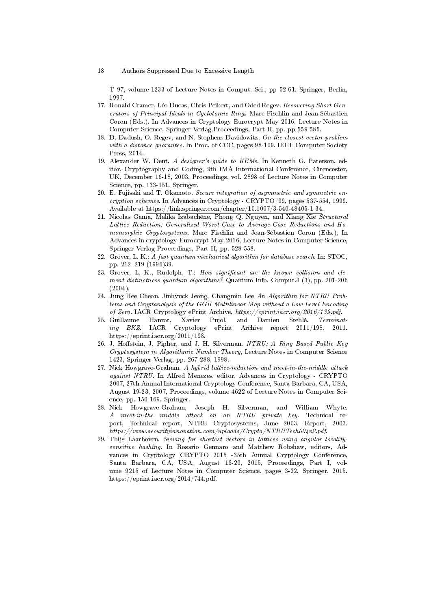T 97, volume 1233 of Lecture Notes in Comput. Sci., pp 52-61. Springer, Berlin, 1997.

- 17. Ronald Cramer, Léo Ducas, Chris Peikert, and Oded Regev. Recovering Short Generators of Principal Ideals in Cyclotomic Rings Marc Fischlin and Jean-Sébastien Coron (Eds.). In Advances in Cryptology Eurocrypt May 2016, Lecture Notes in Computer Science, Springer-Verlag,Proceedings, Part II, pp. pp 559-585.
- 18. D. Dadush, O. Regev, and N. Stephens-Davidowitz. On the closest vector problem with a distance guarantee. In Proc. of CCC, pages 98-109. IEEE Computer Society Press, 2014.
- 19. Alexander W. Dent. A designer's guide to KEMs. In Kenneth G. Paterson, editor, Cryptography and Coding, 9th IMA International Conference, Cirencester, UK, December 16-18, 2003, Proceedings, vol. 2898 of Lecture Notes in Computer Science, pp. 133-151. Springer.
- 20. E. Fujisaki and T. Okamoto. Secure integration of asymmetric and symmetric encryption schemes. In Advances in Cryptology - CRYPTO '99, pages 537-554, 1999. Available at https://link.springer.com/chapter/10.1007/3-540-48405-1 34.
- 21. Nicolas Gama, Malika Izabachène, Phong Q. Nguyen, and Xiang Xie Structural Lattice Reduction: Generalized Worst-Case to Average-Case Reductions and Homomorphic Cryptosystems. Marc Fischlin and Jean-Sébastien Coron (Eds.), In Advances in cryptology Eurocrypt May 2016, Lecture Notes in Computer Science, Springer-Verlag Proceedings, Part II, pp. 528-558.
- 22. Grover, L. K.: A fast quantum mechanical algorithm for database search. In: STOC, pp. 212-219 (1996)39.
- 23. Grover, L. K., Rudolph, T.: How significant are the known collision and element distinctness quantum algorithms? Quantum Info. Comput.4 (3), pp. 201-206  $(2004)$
- 24. Jung Hee Cheon, Jinhyuck Jeong, Changmin Lee An Algorithm for NTRU Problems and Cryptanalysis of the GGH Multilinear Map without a Low Level Encoding of Zero. IACR Cryptology ePrint Archive, https://eprint.iacr.org/2016/139.pdf.
- 25. Guillaume Hanrot, Xavier Pujol, and Damien Stehlé. Terminat-<br>
ing BKZ. IACR Cryptology ePrint Archive report 2011/198, 2011.  $ePrint$  Archive report 2011/198, 2011. https://eprint.iacr.org/2011/198.
- 26. J. Hoffstein, J. Pipher, and J. H. Silverman. NTRU: A Ring Based Public Key Cryptosystem in Algorithmic Number Theory, Lecture Notes in Computer Science 1423, Springer-Verlag, pp. 267-288, 1998.
- 27. Nick Howgrave-Graham. A hybrid lattice-reduction and meet-in-the-middle attack against NTRU. In Alfred Menezes, editor, Advances in Cryptology - CRYPTO 2007, 27th Annual International Cryptology Conference, Santa Barbara, CA, USA, August 19-23, 2007, Proceedings, volume 4622 of Lecture Notes in Computer Science, pp. 150-169. Springer.
- 28. Nick Howgrave-Graham, Joseph H. Silverman, and William Whyte. A meet-in-the middle attack on an NTRU private key. Technical report, Technical report, NTRU Cryptosystems, June 2003. Report, 2003. https://www.securityinnovation.com/uploads/Crypto/NTRUTech004v2.pdf.
- 29. Thijs Laarhoven. Sieving for shortest vectors in lattices using angular localitysensitive hashing. In Rosario Gennaro and Matthew Robshaw, editors, Advances in Cryptology CRYPTO 2015 -35th Annual Cryptology Conference, Santa Barbara, CA, USA, August 16-20, 2015, Proceedings, Part I, volume 9215 of Lecture Notes in Computer Science, pages 3-22. Springer, 2015. https://eprint.iacr.org/2014/744.pdf.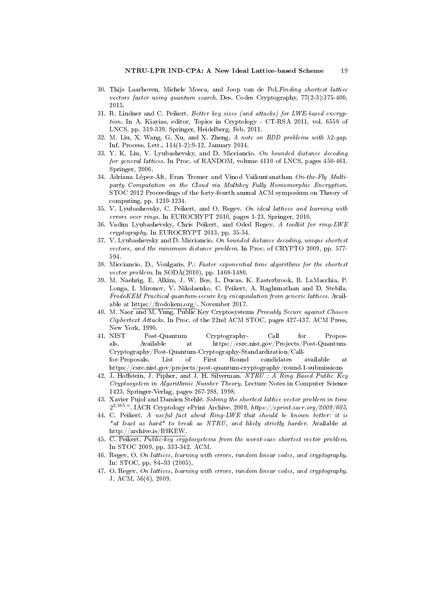- 30. Thijs Laarhoven, Michele Mosca, and Joop van de Pol.Finding shortest lattice vectors faster using quantum search. Des. Codes Cryptography, 77(2-3):375-400, 2015.
- 31. R. Lindner and C. Peikert. Better key sizes (and attacks) for LWE-based encryption. In A. Kiayias, editor, Topics in Cryptology - CT-RSA 2011, vol. 6558 of LNCS, pp. 319-339. Springer, Heidelberg, Feb. 2011.
- 32. M. Liu, X. Wang, G. Xu, and X. Zheng. A note on BDD problems with λ2-gap. Inf. Process. Lett., 114(1-2):9-12, January 2014.
- 33. Y. K. Liu, V. Lyubashevsky, and D. Micciancio. On bounded distance decoding for general lattices. In Proc. of RANDOM, volume 4110 of LNCS, pages 450-461. Springer, 2006.
- 34. Adriana López-Alt, Eran Tromer and Vinod Vaikuntanathan On-the-Fly Multiparty Computation on the Cloud via Multikey Fully Homomorphic Encryption. STOC 2012 Proceedings of the forty-fourth annual ACM symposium on Theory of computing. pp. 1219-1234.
- 35. V. Lyubashevsky, C. Peikert, and O. Regev. On ideal lattices and learning with errors over rings. In EUROCRYPT 2010, pages 1-23. Springer, 2010.
- 36. Vadim Lyubashevsky, Chris Peikert, and Oded Regev. A toolkit for ring-LWE cryptography. In EUROCRYPT 2013, pp. 35-54.
- 37. V. Lyubashevsky and D. Micciancio. On bounded distance decoding, unique shortest vectors, and the minimum distance problem. In Proc. of CRYPTO 2009, pp. 577- 594.
- 38. Micciancio, D., Voulgaris, P.: Faster exponential time algorithms for the shortest vector problem. In SODA(2010), pp. 1468-1480.
- 39. M. Naehrig, E. Alkim, J. W. Bos, L. Ducas, K. Easterbrook, B. LaMacchia, P. Longa, I. Mironov, V. Nikolaenko, C. Peikert, A. Raghunathan and D. Stebila. FrodoKEM Practical quantum-secure key encapsulation from generic lattices. Available at https://frodokem.org/. November 2017.
- 40. M. Naor and M. Yung. Public Key Cryptosystems Provably Secure against Chosen Ciphertext Attacks. In Proc. of the 22nd ACM STOC, pages 427-437. ACM Press, New York, 1990.
- 41. NIST Post-Quantum Cryptography- Call for Proposals. Available at https://csrc.nist.gov/Projects/Post-Quantum-Cryptography/Post-Quantum-Cryptography-Standardization/Callfor-Proposals. List of First Round candidates available at https://csrc.nist.gov/projects/post-quantum-cryptography/round-1-submissions
- 42. J. Hoffstein, J. Pipher, and J. H. Silverman. NTRU : A Ring Based Public Key Cryptosystem in Algorithmic Number Theory. Lecture Notes in Computer Science 1423, Springer-Verlag, pages 267-288, 1998.
- 43. Xavier Pujol and Damien Stehlé. Solving the shortest lattice vector problem in time  $2^{2,465.n}$ . IACR Cryptology ePrint Archive, 2009. https://eprint.iacr.org/2009/605.
- 44. C. Peikert. A useful fact about Ring-LWE that should be known better: it is \*at least as hard\* to break as NTRU, and likely strictly harder. Available at http://archive.is/B9KEW.
- 45. C. Peikert. Public-key cryptosystems from the worst-case shortest vector problem. In STOC 2009, pp. 333-342. ACM.
- 46. Regev, O. On lattices, learning with errors, random linear codes, and cryptography. In: STOC, pp. 84-93 (2005).
- 47. O. Regev. On lattices, learning with errors, random linear codes, and cryptography. J. ACM, 56(6), 2009.